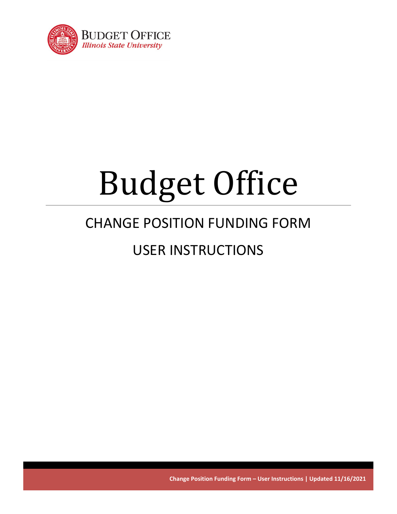

# Budget Office

# CHANGE POSITION FUNDING FORM

# USER INSTRUCTIONS

**Change Position Funding Form – User Instructions | Updated 11/16/2021**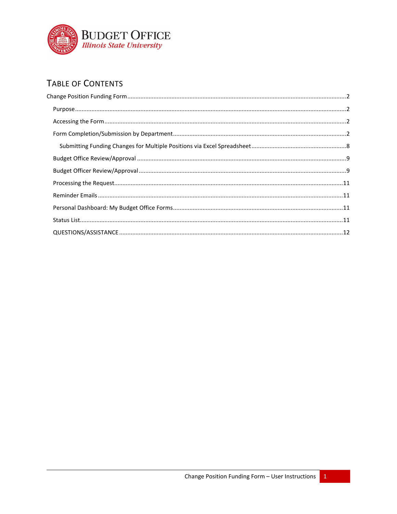

# TABLE OF CONTENTS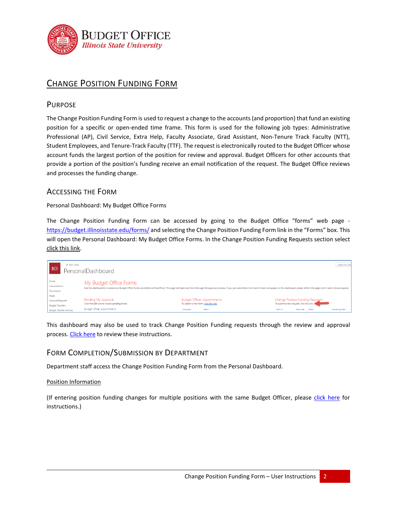

# <span id="page-2-0"></span>CHANGE POSITION FUNDING FORM

## <span id="page-2-1"></span>PURPOSE

The Change Position Funding Form is used to request a change to the accounts (and proportion) that fund an existing position for a specific or open-ended time frame. This form is used for the following job types: Administrative Professional (AP), Civil Service, Extra Help, Faculty Associate, Grad Assistant, Non-Tenure Track Faculty (NTT), Student Employees, and Tenure-Track Faculty (TTF). The request is electronically routed to the Budget Officer whose account funds the largest portion of the position for review and approval. Budget Officers for other accounts that provide a portion of the position's funding receive an email notification of the request. The Budget Office reviews and processes the funding change.

# <span id="page-2-2"></span>ACCESSING THE FORM

Personal Dashboard: My Budget Office Forms

The Change Position Funding Form can be accessed by going to the Budget Office "forms" web page <https://budget.illinoisstate.edu/forms/> and selecting the Change Position Funding Form link in the "Forms" box. This will open the Personal Dashboard: My Budget Office Forms. In the Change Position Funding Requests section select click this link.



This dashboard may also be used to track Change Position Funding requests through the review and approval process. [Click here](#page-11-2) to review these instructions.

# <span id="page-2-3"></span>FORM COMPLETION/SUBMISSION BY DEPARTMENT

Department staff access the Change Position Funding Form from the Personal Dashboard.

#### Position Information

(If entering position funding changes for multiple positions with the same Budget Officer, please [click here](#page-8-0) for instructions.)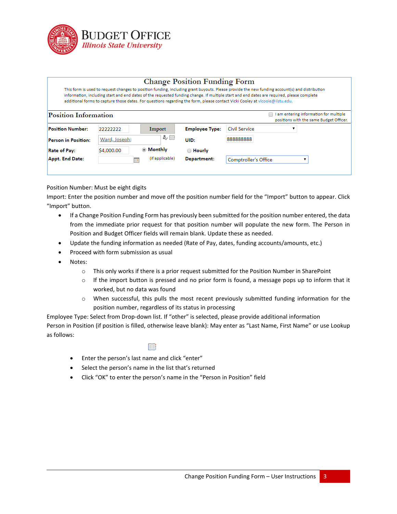

#### **Change Position Funding Form**

This form is used to request changes to position funding, including grant buyouts. Please provide the new funding account(s) and distribution information, including start and end dates of the requested funding change. If multiple start and end dates are required, please complete additional forms to capture those dates. For questions regarding the form, please contact Vicki Cooley at vicoole@ilstu.edu.

| Position Information       |               |                        |                       |                             | am entering information for multiple<br>positions with the same Budget Officer. |  |
|----------------------------|---------------|------------------------|-----------------------|-----------------------------|---------------------------------------------------------------------------------|--|
| <b>Position Number:</b>    | 22222222      | Import                 | <b>Employee Type:</b> | Civil Service               |                                                                                 |  |
| <b>Person in Position:</b> | Ward, Joseph; | み目                     | UID:                  | 888888888                   |                                                                                 |  |
| <b>Rate of Pay:</b>        | \$4,000.00    | ◉ Monthly              | ◯ Hourly              |                             |                                                                                 |  |
| Appt. End Date:            |               | (if applicable)<br>HQ. | Department:           | <b>Comptroller's Office</b> |                                                                                 |  |
|                            |               |                        |                       |                             |                                                                                 |  |

Position Number: Must be eight digits

Import: Enter the position number and move off the position number field for the "Import" button to appear. Click "Import" button.

- If a Change Position Funding Form has previously been submitted for the position number entered, the data from the immediate prior request for that position number will populate the new form. The Person in Position and Budget Officer fields will remain blank. Update these as needed.
- Update the funding information as needed (Rate of Pay, dates, funding accounts/amounts, etc.)
- Proceed with form submission as usual
- Notes:
	- $\circ$  This only works if there is a prior request submitted for the Position Number in SharePoint
	- $\circ$  If the import button is pressed and no prior form is found, a message pops up to inform that it worked, but no data was found
	- o When successful, this pulls the most recent previously submitted funding information for the position number, regardless of its status in processing

Employee Type: Select from Drop-down list. If "other" is selected, please provide additional information Person in Position (if position is filled, otherwise leave blank): May enter as "Last Name, First Name" or use Lookup as follows:

#### 鹛

- Enter the person's last name and click "enter"
- Select the person's name in the list that's returned
- Click "OK" to enter the person's name in the "Person in Position" field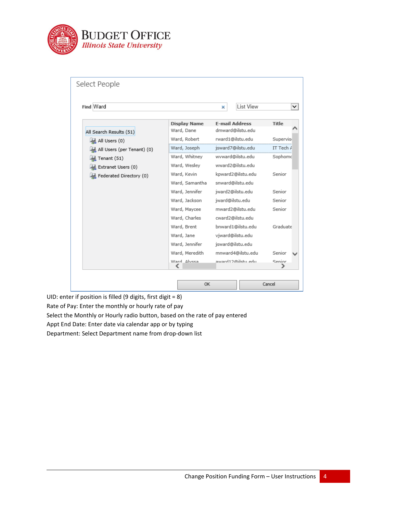

| Find Ward                  |                     | <b>List View</b><br>× | ◡            |
|----------------------------|---------------------|-----------------------|--------------|
|                            | <b>Display Name</b> | <b>E-mail Address</b> | <b>Title</b> |
| All Search Results (51)    | Ward, Dane          | dmward@ilstu.edu      |              |
| All Users (0)              | Ward, Robert        | rward1@ilstu.edu      | Supervis     |
| All Users (per Tenant) (0) | Ward, Joseph        | jsward7@ilstu.edu     | IT Tech A    |
| Tenant (51)                | Ward, Whitney       | wyward@ilstu.edu      | Sophomo      |
| Extranet Users (0)         | Ward, Wesley        | wward2@ilstu.edu      |              |
| Federated Directory (0)    | Ward, Kevin         | kpward2@ilstu.edu     | Senior       |
|                            | Ward, Samantha      | snward@ilstu.edu      |              |
|                            | Ward, Jennifer      | iward2@ilstu.edu      | Senior       |
|                            | Ward, Jackson       | jward@ilstu.edu       | Senior       |
|                            | Ward, Maycee        | mward2@ilstu.edu      | Senior       |
|                            | Ward, Charles       | cward2@ilstu.edu      |              |
|                            | Ward, Brent         | bnward1@ilstu.edu     | Graduate     |
|                            | Ward, Jane          | viward@ilstu.edu      |              |
|                            | Ward, Jennifer      | jsward@ilstu.edu      |              |
|                            | Ward, Meredith      | mnward4@ilstu.edu     | Senior       |
|                            | Ward Alvesa         | award12@ilstu_edu.    | Senior       |

UID: enter if position is filled (9 digits, first digit = 8) Rate of Pay: Enter the monthly or hourly rate of pay Select the Monthly or Hourly radio button, based on the rate of pay entered Appt End Date: Enter date via calendar app or by typing Department: Select Department name from drop-down list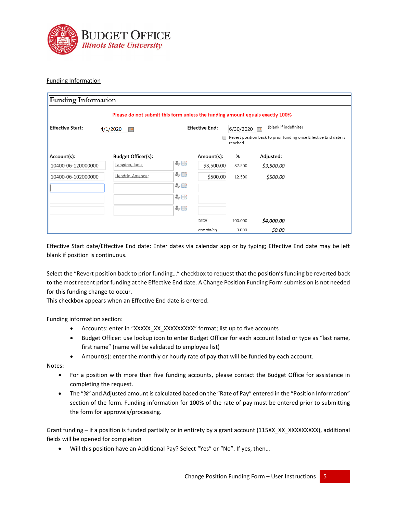

#### Funding Information

| <b>Funding Information</b>                                                                                      |  |                                                                              |    |            |          |                                                                  |
|-----------------------------------------------------------------------------------------------------------------|--|------------------------------------------------------------------------------|----|------------|----------|------------------------------------------------------------------|
|                                                                                                                 |  | Please do not submit this form unless the funding amount equals exactly 100% |    |            |          |                                                                  |
| (blank if indefinite)<br><b>Effective End:</b><br><b>Effective Start:</b><br>6/30/2020<br>4/1/2020<br><b>He</b> |  |                                                                              |    |            |          |                                                                  |
|                                                                                                                 |  |                                                                              |    |            | reached. | Revert position back to prior funding once Effective End date is |
| Account(s):                                                                                                     |  | <b>Budget Officer(s):</b>                                                    |    | Amount(s): | %        | Adjusted:                                                        |
| 10400-06-120000000                                                                                              |  | Langdon, Janis;                                                              | ♣▦ | \$3,500.00 | 87.500   | \$3,500.00                                                       |
| 10400-06-102000000                                                                                              |  | Hendrix, Amanda;                                                             | ♣⊞ | \$500.00   | 12.500   | \$500.00                                                         |
|                                                                                                                 |  |                                                                              | ₩⊞ |            |          |                                                                  |
|                                                                                                                 |  |                                                                              | み眼 |            |          |                                                                  |
|                                                                                                                 |  |                                                                              | み目 |            |          |                                                                  |
|                                                                                                                 |  |                                                                              |    | total      | 100.000  | \$4,000.00                                                       |
|                                                                                                                 |  |                                                                              |    | remaining  | 0.000    | \$0.00                                                           |

Effective Start date/Effective End date: Enter dates via calendar app or by typing; Effective End date may be left blank if position is continuous.

Select the "Revert position back to prior funding…" checkbox to request that the position's funding be reverted back to the most recent prior funding at the Effective End date. A Change Position Funding Form submission is not needed for this funding change to occur.

This checkbox appears when an Effective End date is entered.

Funding information section:

- Accounts: enter in "XXXXX\_XX\_XXXXXXXXX" format; list up to five accounts
- Budget Officer: use lookup icon to enter Budget Officer for each account listed or type as "last name, first name" (name will be validated to employee list)
- Amount(s): enter the monthly or hourly rate of pay that will be funded by each account.

Notes:

- For a position with more than five funding accounts, please contact the Budget Office for assistance in completing the request.
- The "%" and Adjusted amount is calculated based on the "Rate of Pay" entered in the "Position Information" section of the form. Funding information for 100% of the rate of pay must be entered prior to submitting the form for approvals/processing.

Grant funding – if a position is funded partially or in entirety by a grant account (115XX\_XX\_XXXXXXXX), additional fields will be opened for completion

• Will this position have an Additional Pay? Select "Yes" or "No". If yes, then…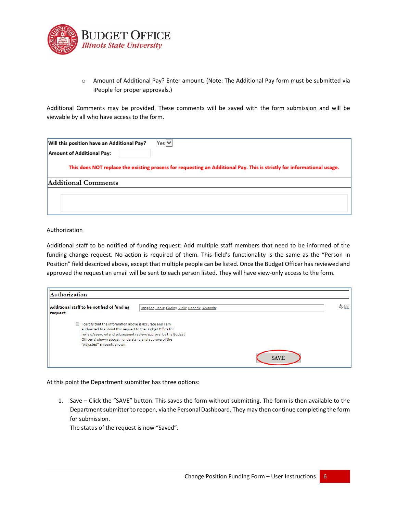

o Amount of Additional Pay? Enter amount. (Note: The Additional Pay form must be submitted via iPeople for proper approvals.)

Additional Comments may be provided. These comments will be saved with the form submission and will be viewable by all who have access to the form.

| Will this position have an Additional Pay? | $Yes$ $\vee$                                                                                                           |
|--------------------------------------------|------------------------------------------------------------------------------------------------------------------------|
| Amount of Additional Pay:                  |                                                                                                                        |
|                                            | This does NOT replace the existing process for requesting an Additional Pay. This is strictly for informational usage. |
| Additional Comments                        |                                                                                                                        |
|                                            |                                                                                                                        |
|                                            |                                                                                                                        |

#### **Authorization**

Additional staff to be notified of funding request: Add multiple staff members that need to be informed of the funding change request. No action is required of them. This field's functionality is the same as the "Person in Position" field described above, except that multiple people can be listed. Once the Budget Officer has reviewed and approved the request an email will be sent to each person listed. They will have view-only access to the form.

| Authorization                                                                                                                                                                                                                                                                   |                                                 |    |
|---------------------------------------------------------------------------------------------------------------------------------------------------------------------------------------------------------------------------------------------------------------------------------|-------------------------------------------------|----|
| Additional staff to be notified of funding<br>request:                                                                                                                                                                                                                          | Langdon, Janis; Cooley, Vicki; Hendrix, Amanda; | る田 |
| I certify that the information above is accurate and I am<br>authorized to submit this request to the Budget Office for<br>review/approval and subsequent review/approval by the Budget<br>Officer(s) shown above. I understand and approve of the<br>"Adjusted" amounts shown. | <b>SAVE</b>                                     |    |

At this point the Department submitter has three options:

1. Save – Click the "SAVE" button. This saves the form without submitting. The form is then available to the Department submitter to reopen, via the Personal Dashboard. They may then continue completing the form for submission.

The status of the request is now "Saved".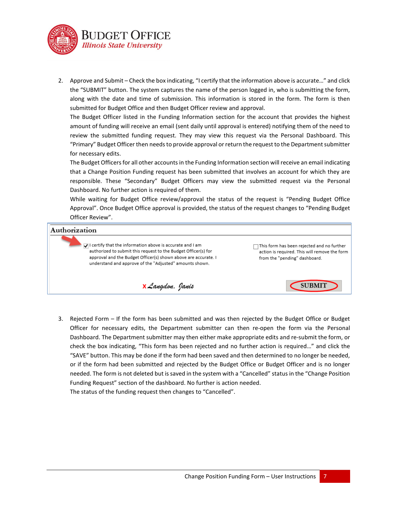

2. Approve and Submit – Check the box indicating, "I certify that the information above is accurate…" and click the "SUBMIT" button. The system captures the name of the person logged in, who is submitting the form, along with the date and time of submission. This information is stored in the form. The form is then submitted for Budget Office and then Budget Officer review and approval.

The Budget Officer listed in the Funding Information section for the account that provides the highest amount of funding will receive an email (sent daily until approval is entered) notifying them of the need to review the submitted funding request. They may view this request via the Personal Dashboard. This "Primary" Budget Officer then needs to provide approval or return the request to the Department submitter for necessary edits.

The Budget Officers for all other accountsin the Funding Information section will receive an email indicating that a Change Position Funding request has been submitted that involves an account for which they are responsible. These "Secondary" Budget Officers may view the submitted request via the Personal Dashboard. No further action is required of them.

While waiting for Budget Office review/approval the status of the request is "Pending Budget Office Approval". Once Budget Office approval is provided, the status of the request changes to "Pending Budget Officer Review".

## Authorization

 $\ddot{\mathbf{J}}$ : I certify that the information above is accurate and I am authorized to submit this request to the Budget Officer(s) for approval and the Budget Officer(s) shown above are accurate. I understand and approve of the "Adjusted" amounts shown.

□This form has been rejected and no further action is required. This will remove the form from the "pending" dashboard.

**SUBMIT** 

**X** Langdon, Janis

3. Rejected Form – If the form has been submitted and was then rejected by the Budget Office or Budget Officer for necessary edits, the Department submitter can then re-open the form via the Personal Dashboard. The Department submitter may then either make appropriate edits and re-submit the form, or check the box indicating, "This form has been rejected and no further action is required…" and click the "SAVE" button. This may be done if the form had been saved and then determined to no longer be needed, or if the form had been submitted and rejected by the Budget Office or Budget Officer and is no longer needed. The form is not deleted but is saved in the system with a "Cancelled" status in the "Change Position Funding Request" section of the dashboard. No further is action needed. The status of the funding request then changes to "Cancelled".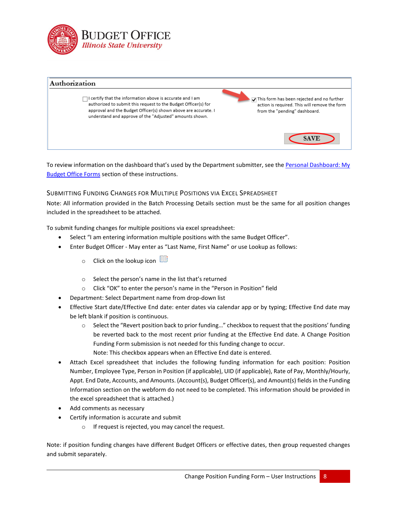



To review information on the dashboard that's used by the Department submitter, see th[e Personal Dashboard: My](#page-11-2)  [Budget Office Forms](#page-11-2) section of these instructions.

#### <span id="page-8-0"></span>SUBMITTING FUNDING CHANGES FOR MULTIPLE POSITIONS VIA EXCEL SPREADSHEET

Note: All information provided in the Batch Processing Details section must be the same for all position changes included in the spreadsheet to be attached.

To submit funding changes for multiple positions via excel spreadsheet:

- Select "I am entering information multiple positions with the same Budget Officer".
- Enter Budget Officer May enter as "Last Name, First Name" or use Lookup as follows:
	- o Click on the lookup icon  $\overline{\mathbb{H}}$
	- o Select the person's name in the list that's returned
	- o Click "OK" to enter the person's name in the "Person in Position" field
- Department: Select Department name from drop-down list
- Effective Start date/Effective End date: enter dates via calendar app or by typing; Effective End date may be left blank if position is continuous.
	- o Select the "Revert position back to prior funding…" checkbox to request that the positions' funding be reverted back to the most recent prior funding at the Effective End date. A Change Position Funding Form submission is not needed for this funding change to occur. Note: This checkbox appears when an Effective End date is entered.
- Attach Excel spreadsheet that includes the following funding information for each position: Position Number, Employee Type, Person in Position (if applicable), UID (if applicable), Rate of Pay, Monthly/Hourly, Appt. End Date, Accounts, and Amounts. (Account(s), Budget Officer(s), and Amount(s) fields in the Funding Information section on the webform do not need to be completed. This information should be provided in the excel spreadsheet that is attached.)
- Add comments as necessary
- Certify information is accurate and submit
	- o If request is rejected, you may cancel the request.

Note: if position funding changes have different Budget Officers or effective dates, then group requested changes and submit separately.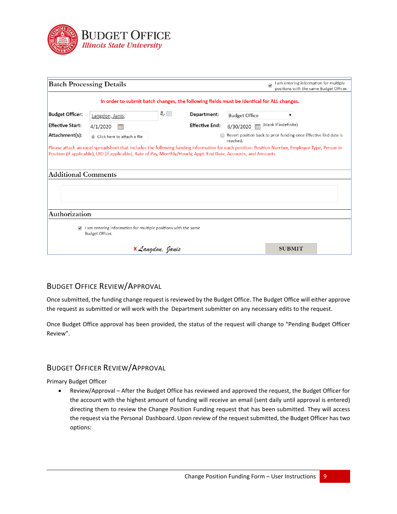

|                            | <b>Batch Processing Details</b>                                                                                                                 |                  |                       |                      | I am entering information for multiple<br>$\overline{\mathcal{L}}$<br>positions with the same Budget Officer. |  |
|----------------------------|-------------------------------------------------------------------------------------------------------------------------------------------------|------------------|-----------------------|----------------------|---------------------------------------------------------------------------------------------------------------|--|
|                            | In order to submit batch changes, the following fields must be identical for ALL changes.                                                       |                  |                       |                      |                                                                                                               |  |
| <b>Budget Officer:</b>     | Langdon, Janis;                                                                                                                                 | み目               | Department:           | <b>Budget Office</b> | ▼                                                                                                             |  |
| <b>Effective Start:</b>    | 4/1/2020<br>#8                                                                                                                                  |                  | <b>Effective End:</b> | 6/30/2020            | (blank if indefinite)                                                                                         |  |
| Attachment(s):             | U Click here to attach a file                                                                                                                   |                  |                       | reached.             | Revert position back to prior funding once Effective End date is                                              |  |
|                            | Please attach an excel spreadsheet that includes the following funding information for each position: Position Number, Employee Type, Person in |                  |                       |                      |                                                                                                               |  |
|                            | Position (if applicable), UID (if applicable), Rate of Pay, Monthly/Hourly, Appt. End Date, Accounts, and Amounts.                              |                  |                       |                      |                                                                                                               |  |
| <b>Additional Comments</b> |                                                                                                                                                 |                  |                       |                      |                                                                                                               |  |
|                            |                                                                                                                                                 |                  |                       |                      |                                                                                                               |  |
|                            |                                                                                                                                                 |                  |                       |                      |                                                                                                               |  |
| Authorization              |                                                                                                                                                 |                  |                       |                      |                                                                                                               |  |
|                            | I am entering information for multiple positions with the same<br>Budget Officer.                                                               |                  |                       |                      |                                                                                                               |  |
|                            |                                                                                                                                                 | X Langdon, Janis |                       |                      | <b>SUBMIT</b>                                                                                                 |  |
|                            |                                                                                                                                                 |                  |                       |                      |                                                                                                               |  |

# <span id="page-9-0"></span>BUDGET OFFICE REVIEW/APPROVAL

Once submitted, the funding change request is reviewed by the Budget Office. The Budget Office will either approve the request as submitted or will work with the Department submitter on any necessary edits to the request.

Once Budget Office approval has been provided, the status of the request will change to "Pending Budget Officer Review".

# <span id="page-9-1"></span>BUDGET OFFICER REVIEW/APPROVAL

Primary Budget Officer

• Review/Approval – After the Budget Office has reviewed and approved the request, the Budget Officer for the account with the highest amount of funding will receive an email (sent daily until approval is entered) directing them to review the Change Position Funding request that has been submitted. They will access the request via the Personal Dashboard. Upon review of the request submitted, the Budget Officer has two options: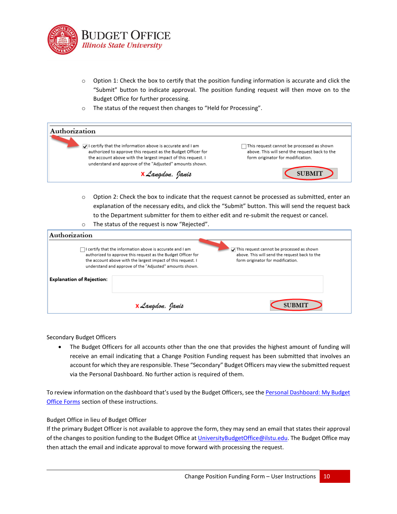

- o Option 1: Check the box to certify that the position funding information is accurate and click the "Submit" button to indicate approval. The position funding request will then move on to the Budget Office for further processing.
- o The status of the request then changes to "Held for Processing".

| Authorization                                                                                                                                                                                                                                                      |                                                                                                                                 |
|--------------------------------------------------------------------------------------------------------------------------------------------------------------------------------------------------------------------------------------------------------------------|---------------------------------------------------------------------------------------------------------------------------------|
| $\mathcal{L}$ I certify that the information above is accurate and I am<br>authorized to approve this request as the Budget Officer for<br>the account above with the largest impact of this request. I<br>understand and approve of the "Adjusted" amounts shown. | This request cannot be processed as shown<br>above. This will send the request back to the<br>form originator for modification. |
| <b>X</b> Langdon, Janis                                                                                                                                                                                                                                            | <b>SUBMIT</b>                                                                                                                   |

o Option 2: Check the box to indicate that the request cannot be processed as submitted, enter an explanation of the necessary edits, and click the "Submit" button. This will send the request back to the Department submitter for them to either edit and re-submit the request or cancel.

| $\circ$                          | The status of the request is now "Rejected".                                                                                                                                                                                                                |                                                                                                                                 |
|----------------------------------|-------------------------------------------------------------------------------------------------------------------------------------------------------------------------------------------------------------------------------------------------------------|---------------------------------------------------------------------------------------------------------------------------------|
| Authorization                    |                                                                                                                                                                                                                                                             |                                                                                                                                 |
|                                  | $\Box$ I certify that the information above is accurate and I am<br>authorized to approve this request as the Budget Officer for<br>the account above with the largest impact of this request. I<br>understand and approve of the "Adjusted" amounts shown. | This request cannot be processed as shown<br>above. This will send the request back to the<br>form originator for modification. |
| <b>Explanation of Rejection:</b> |                                                                                                                                                                                                                                                             |                                                                                                                                 |
|                                  | <b>X</b> Langdon, Janis                                                                                                                                                                                                                                     | <b>SUBMIT</b>                                                                                                                   |

Secondary Budget Officers

• The Budget Officers for all accounts other than the one that provides the highest amount of funding will receive an email indicating that a Change Position Funding request has been submitted that involves an account for which they are responsible. These "Secondary" Budget Officers may view the submitted request via the Personal Dashboard. No further action is required of them.

To review information on the dashboard that's used by the Budget Officers, see the Personal Dashboard: My Budget [Office Forms](#page-11-2) section of these instructions.

Budget Office in lieu of Budget Officer

If the primary Budget Officer is not available to approve the form, they may send an email that states their approval of the changes to position funding to the Budget Office a[t UniversityBudgetOffice@ilstu.edu.](mailto:UniversityBudgetOffice@ilstu.edu?subject=Change%20Position%20Funding%20Request%20-%20Budget%20Officer%20Approval) The Budget Office may then attach the email and indicate approval to move forward with processing the request.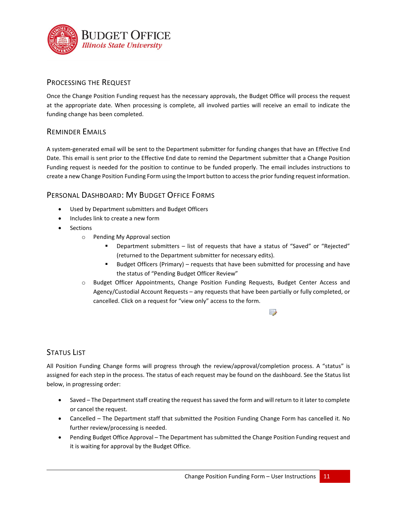

# <span id="page-11-0"></span>PROCESSING THE REQUEST

Once the Change Position Funding request has the necessary approvals, the Budget Office will process the request at the appropriate date. When processing is complete, all involved parties will receive an email to indicate the funding change has been completed.

## <span id="page-11-1"></span>REMINDER EMAILS

A system-generated email will be sent to the Department submitter for funding changes that have an Effective End Date. This email is sent prior to the Effective End date to remind the Department submitter that a Change Position Funding request is needed for the position to continue to be funded properly. The email includes instructions to create a new Change Position Funding Form using the Import button to access the prior funding request information.

# <span id="page-11-2"></span>PERSONAL DASHBOARD: MY BUDGET OFFICE FORMS

- Used by Department submitters and Budget Officers
- Includes link to create a new form
- **Sections** 
	- o Pending My Approval section
		- Department submitters list of requests that have a status of "Saved" or "Rejected" (returned to the Department submitter for necessary edits).
		- **Budget Officers (Primary)** requests that have been submitted for processing and have the status of "Pending Budget Officer Review"
	- o Budget Officer Appointments, Change Position Funding Requests, Budget Center Access and Agency/Custodial Account Requests – any requests that have been partially or fully completed, or cancelled. Click on a request for "view only" access to the form.

# <span id="page-11-3"></span>STATUS LIST

All Position Funding Change forms will progress through the review/approval/completion process. A "status" is assigned for each step in the process. The status of each request may be found on the dashboard. See the Status list below, in progressing order:

- Saved The Department staff creating the request has saved the form and will return to it later to complete or cancel the request.
- Cancelled The Department staff that submitted the Position Funding Change Form has cancelled it. No further review/processing is needed.
- Pending Budget Office Approval The Department has submitted the Change Position Funding request and it is waiting for approval by the Budget Office.

 $\rightarrow$